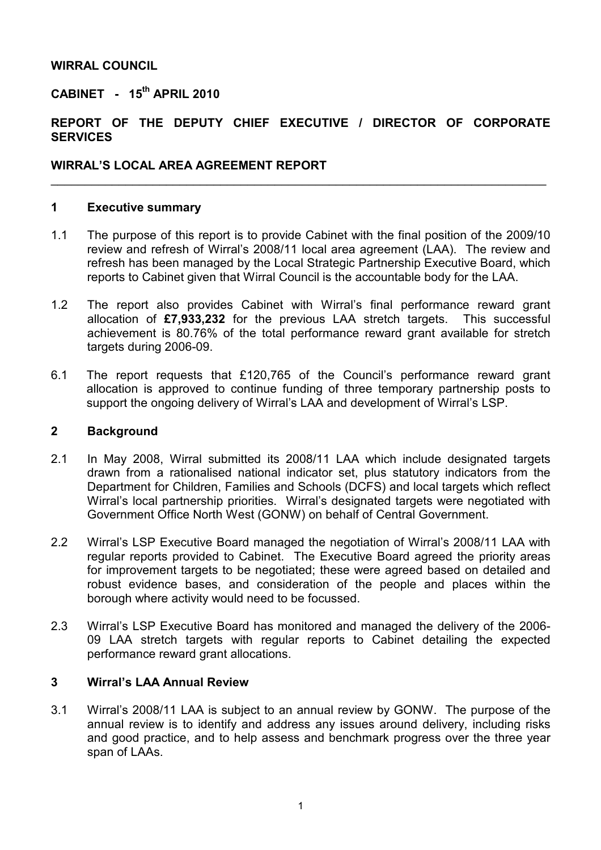#### WIRRAL COUNCIL

# CABINET - 15<sup>th</sup> APRIL 2010

### REPORT OF THE DEPUTY CHIEF EXECUTIVE / DIRECTOR OF CORPORATE **SERVICES**

 $\_$  , and the contribution of the contribution of the contribution of the contribution of  $\mathcal{L}_\mathbf{z}$ 

#### WIRRAL'S LOCAL AREA AGREEMENT REPORT

#### 1 Executive summary

- 1.1 The purpose of this report is to provide Cabinet with the final position of the 2009/10 review and refresh of Wirral's 2008/11 local area agreement (LAA). The review and refresh has been managed by the Local Strategic Partnership Executive Board, which reports to Cabinet given that Wirral Council is the accountable body for the LAA.
- 1.2 The report also provides Cabinet with Wirral's final performance reward grant allocation of £7,933,232 for the previous LAA stretch targets. This successful achievement is 80.76% of the total performance reward grant available for stretch targets during 2006-09.
- 6.1 The report requests that £120,765 of the Council's performance reward grant allocation is approved to continue funding of three temporary partnership posts to support the ongoing delivery of Wirral's LAA and development of Wirral's LSP.

#### 2 Background

- 2.1 In May 2008, Wirral submitted its 2008/11 LAA which include designated targets drawn from a rationalised national indicator set, plus statutory indicators from the Department for Children, Families and Schools (DCFS) and local targets which reflect Wirral's local partnership priorities. Wirral's designated targets were negotiated with Government Office North West (GONW) on behalf of Central Government.
- 2.2 Wirral's LSP Executive Board managed the negotiation of Wirral's 2008/11 LAA with regular reports provided to Cabinet. The Executive Board agreed the priority areas for improvement targets to be negotiated; these were agreed based on detailed and robust evidence bases, and consideration of the people and places within the borough where activity would need to be focussed.
- 2.3 Wirral's LSP Executive Board has monitored and managed the delivery of the 2006- 09 LAA stretch targets with regular reports to Cabinet detailing the expected performance reward grant allocations.

#### 3 Wirral's LAA Annual Review

3.1 Wirral's 2008/11 LAA is subject to an annual review by GONW. The purpose of the annual review is to identify and address any issues around delivery, including risks and good practice, and to help assess and benchmark progress over the three year span of LAAs.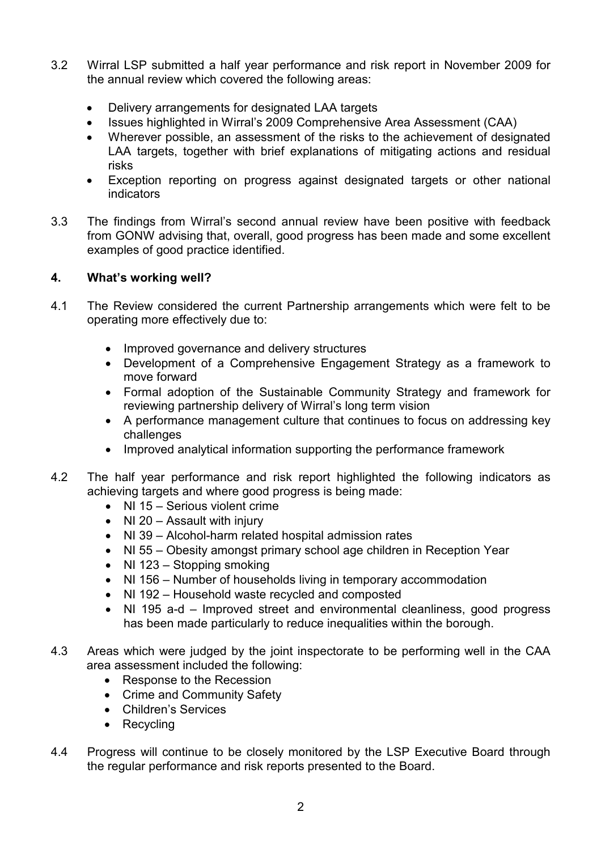- 3.2 Wirral LSP submitted a half year performance and risk report in November 2009 for the annual review which covered the following areas:
	- Delivery arrangements for designated LAA targets
	- Issues highlighted in Wirral's 2009 Comprehensive Area Assessment (CAA)
	- Wherever possible, an assessment of the risks to the achievement of designated LAA targets, together with brief explanations of mitigating actions and residual risks
	- Exception reporting on progress against designated targets or other national indicators
- 3.3 The findings from Wirral's second annual review have been positive with feedback from GONW advising that, overall, good progress has been made and some excellent examples of good practice identified.

# 4. What's working well?

- 4.1 The Review considered the current Partnership arrangements which were felt to be operating more effectively due to:
	- Improved governance and delivery structures
	- Development of a Comprehensive Engagement Strategy as a framework to move forward
	- Formal adoption of the Sustainable Community Strategy and framework for reviewing partnership delivery of Wirral's long term vision
	- A performance management culture that continues to focus on addressing key challenges
	- Improved analytical information supporting the performance framework
- 4.2 The half year performance and risk report highlighted the following indicators as achieving targets and where good progress is being made:
	- NI 15 Serious violent crime
	- NI 20 Assault with injury
	- NI 39 Alcohol-harm related hospital admission rates
	- NI 55 Obesity amongst primary school age children in Reception Year
	- NI 123 Stopping smoking
	- NI 156 Number of households living in temporary accommodation
	- NI 192 Household waste recycled and composted
	- NI 195 a-d Improved street and environmental cleanliness, good progress has been made particularly to reduce inequalities within the borough.
- 4.3 Areas which were judged by the joint inspectorate to be performing well in the CAA area assessment included the following:
	- Response to the Recession
	- Crime and Community Safety
	- Children's Services
	- Recycling
- 4.4 Progress will continue to be closely monitored by the LSP Executive Board through the regular performance and risk reports presented to the Board.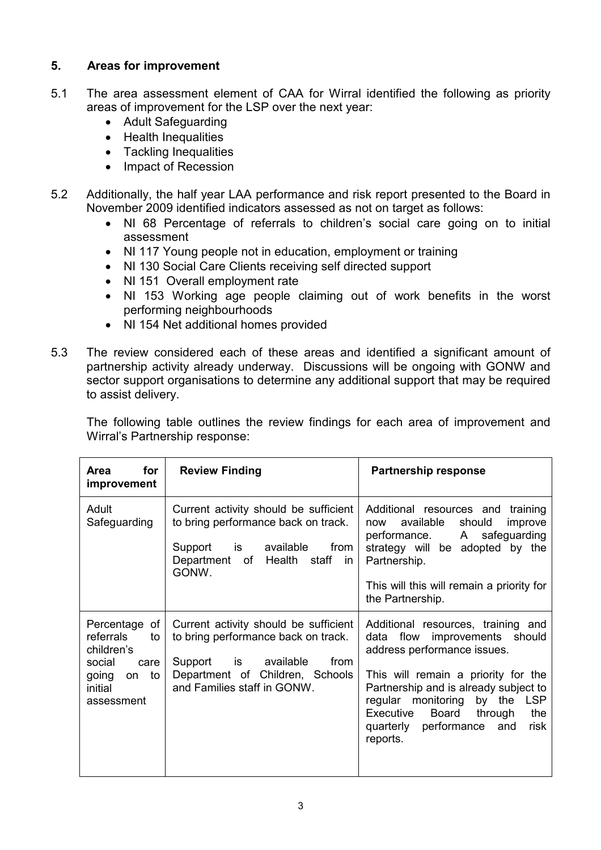# 5. Areas for improvement

- 5.1 The area assessment element of CAA for Wirral identified the following as priority areas of improvement for the LSP over the next year:
	- Adult Safeguarding
	- Health Inequalities
	- Tackling Inequalities
	- Impact of Recession
- 5.2 Additionally, the half year LAA performance and risk report presented to the Board in November 2009 identified indicators assessed as not on target as follows:
	- NI 68 Percentage of referrals to children's social care going on to initial assessment
	- NI 117 Young people not in education, employment or training
	- NI 130 Social Care Clients receiving self directed support
	- NI 151 Overall employment rate
	- NI 153 Working age people claiming out of work benefits in the worst performing neighbourhoods
	- NI 154 Net additional homes provided
- 5.3 The review considered each of these areas and identified a significant amount of partnership activity already underway. Discussions will be ongoing with GONW and sector support organisations to determine any additional support that may be required to assist delivery.

 The following table outlines the review findings for each area of improvement and Wirral's Partnership response:

| for<br><b>Area</b><br>improvement                                                                              | <b>Review Finding</b>                                                                                                                                                                                                                                              | <b>Partnership response</b>                                                                                                                                                                                                                                                                                           |  |
|----------------------------------------------------------------------------------------------------------------|--------------------------------------------------------------------------------------------------------------------------------------------------------------------------------------------------------------------------------------------------------------------|-----------------------------------------------------------------------------------------------------------------------------------------------------------------------------------------------------------------------------------------------------------------------------------------------------------------------|--|
| Adult<br>Safeguarding                                                                                          | Current activity should be sufficient<br>to bring performance back on track.<br>is the set of the set of the set of the set of the set of the set of the set of the set of the set o<br>available<br>from<br>Support<br>Department of Health staff<br>in.<br>GONW. | Additional resources and<br>training<br>available<br>should<br>improve<br>now<br>A<br>safeguarding<br>performance.<br>strategy will be adopted by the<br>Partnership.<br>This will this will remain a priority for<br>the Partnership.                                                                                |  |
| Percentage of<br>referrals<br>to<br>children's<br>social<br>care<br>to<br>going<br>on<br>initial<br>assessment | Current activity should be sufficient<br>to bring performance back on track.<br>Support is available<br>from<br>Department of Children, Schools<br>and Families staff in GONW.                                                                                     | Additional resources, training and<br>flow<br>improvements should<br>data<br>address performance issues.<br>This will remain a priority for the<br>Partnership and is already subject to<br>regular monitoring by the LSP<br>Board<br>the<br>Executive<br>through<br>quarterly performance<br>risk<br>and<br>reports. |  |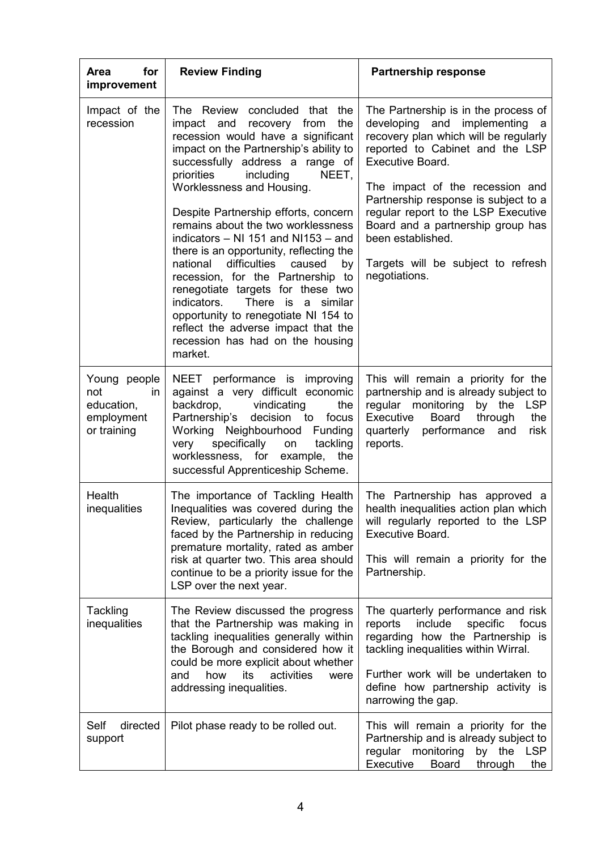| for<br><b>Area</b><br>improvement                                     | <b>Review Finding</b>                                                                                                                                                                                                                                                                                                                                                                                                                                                                                                                                                                                                                                                                                         | <b>Partnership response</b>                                                                                                                                                                                                                                                                                                                                                                                     |  |
|-----------------------------------------------------------------------|---------------------------------------------------------------------------------------------------------------------------------------------------------------------------------------------------------------------------------------------------------------------------------------------------------------------------------------------------------------------------------------------------------------------------------------------------------------------------------------------------------------------------------------------------------------------------------------------------------------------------------------------------------------------------------------------------------------|-----------------------------------------------------------------------------------------------------------------------------------------------------------------------------------------------------------------------------------------------------------------------------------------------------------------------------------------------------------------------------------------------------------------|--|
| Impact of the<br>recession                                            | The Review concluded that the<br>impact and recovery from<br>the<br>recession would have a significant<br>impact on the Partnership's ability to<br>successfully address a range of<br>priorities<br>including<br>NEET,<br>Worklessness and Housing.<br>Despite Partnership efforts, concern<br>remains about the two worklessness<br>indicators - NI 151 and NI153 - and<br>there is an opportunity, reflecting the<br>difficulties<br>national<br>caused<br>by<br>recession, for the Partnership to<br>renegotiate targets for these two<br>There is a similar<br>indicators.<br>opportunity to renegotiate NI 154 to<br>reflect the adverse impact that the<br>recession has had on the housing<br>market. | The Partnership is in the process of<br>developing and implementing a<br>recovery plan which will be regularly<br>reported to Cabinet and the LSP<br><b>Executive Board.</b><br>The impact of the recession and<br>Partnership response is subject to a<br>regular report to the LSP Executive<br>Board and a partnership group has<br>been established.<br>Targets will be subject to refresh<br>negotiations. |  |
| Young people<br>not<br>in.<br>education,<br>employment<br>or training | NEET performance is improving<br>against a very difficult economic<br>vindicating<br>backdrop,<br>the<br>Partnership's<br>decision to<br>focus<br>Working Neighbourhood<br>Funding<br>specifically on<br>very<br>tackling<br>worklessness, for example, the<br>successful Apprenticeship Scheme.                                                                                                                                                                                                                                                                                                                                                                                                              | This will remain a priority for the<br>partnership and is already subject to<br>regular monitoring<br>by the<br>LSP<br>Executive<br>Board<br>through<br>the<br>quarterly performance<br>and<br>risk<br>reports.                                                                                                                                                                                                 |  |
| Health<br>inequalities                                                | The importance of Tackling Health<br>Inequalities was covered during the<br>Review, particularly the challenge<br>faced by the Partnership in reducing<br>premature mortality, rated as amber<br>risk at quarter two. This area should<br>continue to be a priority issue for the<br>LSP over the next year.                                                                                                                                                                                                                                                                                                                                                                                                  | The Partnership has approved a<br>health inequalities action plan which  <br>will regularly reported to the LSP<br>Executive Board.<br>This will remain a priority for the<br>Partnership.                                                                                                                                                                                                                      |  |
| Tackling<br>inequalities                                              | The Review discussed the progress<br>that the Partnership was making in<br>tackling inequalities generally within<br>the Borough and considered how it<br>could be more explicit about whether<br>how<br>its<br>activities<br>and<br>were<br>addressing inequalities.                                                                                                                                                                                                                                                                                                                                                                                                                                         | The quarterly performance and risk<br>include<br>specific<br>focus<br>reports<br>regarding how the Partnership is<br>tackling inequalities within Wirral.<br>Further work will be undertaken to<br>define how partnership activity is<br>narrowing the gap.                                                                                                                                                     |  |
| Self<br>directed<br>support                                           | Pilot phase ready to be rolled out.                                                                                                                                                                                                                                                                                                                                                                                                                                                                                                                                                                                                                                                                           | This will remain a priority for the<br>Partnership and is already subject to<br>regular monitoring<br>by the LSP<br>Executive<br>Board<br>through<br>the                                                                                                                                                                                                                                                        |  |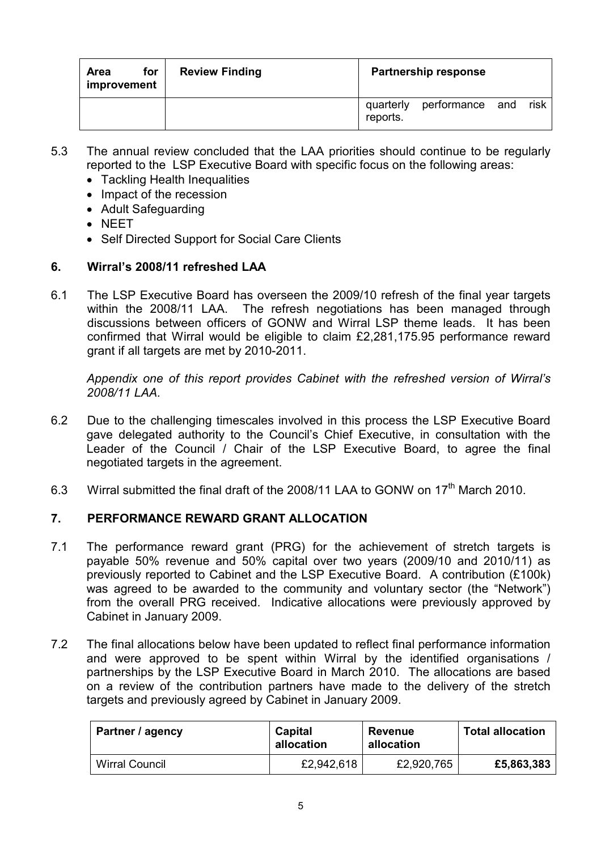| for<br><b>Area</b><br>improvement | <b>Review Finding</b> | <b>Partnership response</b>                      |  |
|-----------------------------------|-----------------------|--------------------------------------------------|--|
|                                   |                       | risk<br>quarterly<br>performance and<br>reports. |  |

- 5.3 The annual review concluded that the LAA priorities should continue to be regularly reported to the LSP Executive Board with specific focus on the following areas:
	- Tackling Health Inequalities
	- Impact of the recession
	- Adult Safeguarding
	- NEET
	- Self Directed Support for Social Care Clients

# 6. Wirral's 2008/11 refreshed LAA

6.1 The LSP Executive Board has overseen the 2009/10 refresh of the final year targets within the 2008/11 LAA. The refresh negotiations has been managed through discussions between officers of GONW and Wirral LSP theme leads. It has been confirmed that Wirral would be eligible to claim £2,281,175.95 performance reward grant if all targets are met by 2010-2011.

 Appendix one of this report provides Cabinet with the refreshed version of Wirral's 2008/11 LAA.

- 6.2 Due to the challenging timescales involved in this process the LSP Executive Board gave delegated authority to the Council's Chief Executive, in consultation with the Leader of the Council / Chair of the LSP Executive Board, to agree the final negotiated targets in the agreement.
- 6.3 Wirral submitted the final draft of the 2008/11 LAA to GONW on 17<sup>th</sup> March 2010.

# 7. PERFORMANCE REWARD GRANT ALLOCATION

- 7.1 The performance reward grant (PRG) for the achievement of stretch targets is payable 50% revenue and 50% capital over two years (2009/10 and 2010/11) as previously reported to Cabinet and the LSP Executive Board. A contribution (£100k) was agreed to be awarded to the community and voluntary sector (the "Network") from the overall PRG received. Indicative allocations were previously approved by Cabinet in January 2009.
- 7.2 The final allocations below have been updated to reflect final performance information and were approved to be spent within Wirral by the identified organisations / partnerships by the LSP Executive Board in March 2010. The allocations are based on a review of the contribution partners have made to the delivery of the stretch targets and previously agreed by Cabinet in January 2009.

| Partner / agency      | Capital<br>allocation | Revenue<br>allocation | <b>Total allocation</b> |
|-----------------------|-----------------------|-----------------------|-------------------------|
| <b>Wirral Council</b> | £2,942,618            | £2,920,765            | £5,863,383              |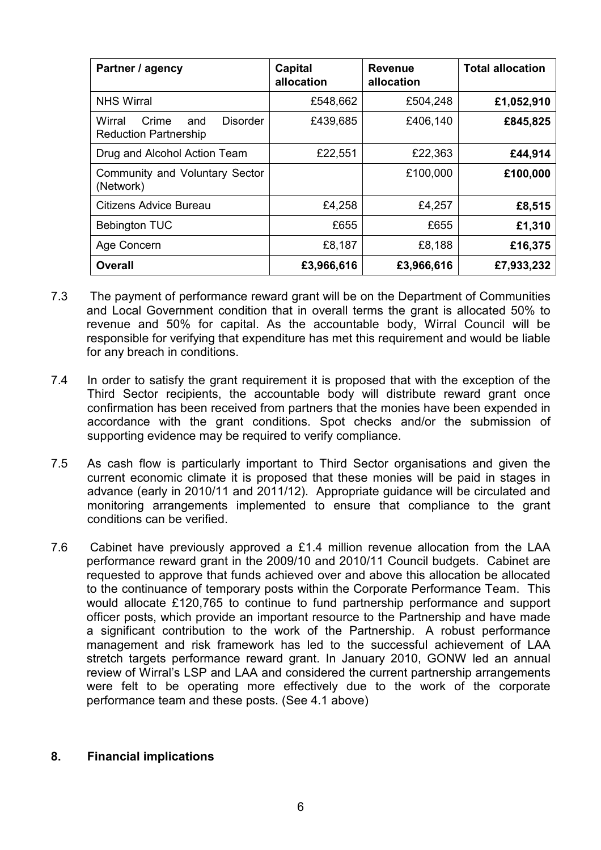| Partner / agency                                                          | Capital<br>allocation | <b>Revenue</b><br>allocation | <b>Total allocation</b> |
|---------------------------------------------------------------------------|-----------------------|------------------------------|-------------------------|
| <b>NHS Wirral</b>                                                         | £548,662              | £504,248                     | £1,052,910              |
| <b>Disorder</b><br>Wirral<br>Crime<br>and<br><b>Reduction Partnership</b> | £439,685              | £406,140                     | £845,825                |
| Drug and Alcohol Action Team                                              | £22,551               | £22,363                      | £44,914                 |
| Community and Voluntary Sector<br>(Network)                               |                       | £100,000                     | £100,000                |
| Citizens Advice Bureau                                                    | £4,258                | £4,257                       | £8,515                  |
| <b>Bebington TUC</b>                                                      | £655                  | £655                         | £1,310                  |
| Age Concern                                                               | £8,187                | £8,188                       | £16,375                 |
| <b>Overall</b>                                                            | £3,966,616            | £3,966,616                   | £7,933,232              |

- 7.3 The payment of performance reward grant will be on the Department of Communities and Local Government condition that in overall terms the grant is allocated 50% to revenue and 50% for capital. As the accountable body, Wirral Council will be responsible for verifying that expenditure has met this requirement and would be liable for any breach in conditions.
- 7.4 In order to satisfy the grant requirement it is proposed that with the exception of the Third Sector recipients, the accountable body will distribute reward grant once confirmation has been received from partners that the monies have been expended in accordance with the grant conditions. Spot checks and/or the submission of supporting evidence may be required to verify compliance.
- 7.5 As cash flow is particularly important to Third Sector organisations and given the current economic climate it is proposed that these monies will be paid in stages in advance (early in 2010/11 and 2011/12). Appropriate guidance will be circulated and monitoring arrangements implemented to ensure that compliance to the grant conditions can be verified.
- 7.6 Cabinet have previously approved a £1.4 million revenue allocation from the LAA performance reward grant in the 2009/10 and 2010/11 Council budgets. Cabinet are requested to approve that funds achieved over and above this allocation be allocated to the continuance of temporary posts within the Corporate Performance Team. This would allocate £120,765 to continue to fund partnership performance and support officer posts, which provide an important resource to the Partnership and have made a significant contribution to the work of the Partnership. A robust performance management and risk framework has led to the successful achievement of LAA stretch targets performance reward grant. In January 2010, GONW led an annual review of Wirral's LSP and LAA and considered the current partnership arrangements were felt to be operating more effectively due to the work of the corporate performance team and these posts. (See 4.1 above)

#### 8. Financial implications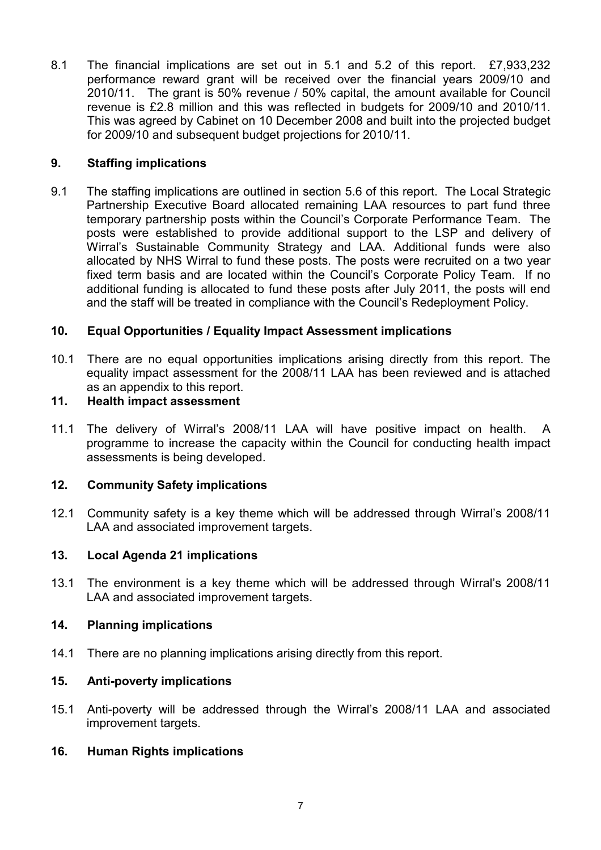8.1 The financial implications are set out in 5.1 and 5.2 of this report. £7,933,232 performance reward grant will be received over the financial years 2009/10 and 2010/11. The grant is 50% revenue / 50% capital, the amount available for Council revenue is £2.8 million and this was reflected in budgets for 2009/10 and 2010/11. This was agreed by Cabinet on 10 December 2008 and built into the projected budget for 2009/10 and subsequent budget projections for 2010/11.

# 9. Staffing implications

9.1 The staffing implications are outlined in section 5.6 of this report. The Local Strategic Partnership Executive Board allocated remaining LAA resources to part fund three temporary partnership posts within the Council's Corporate Performance Team. The posts were established to provide additional support to the LSP and delivery of Wirral's Sustainable Community Strategy and LAA. Additional funds were also allocated by NHS Wirral to fund these posts. The posts were recruited on a two year fixed term basis and are located within the Council's Corporate Policy Team. If no additional funding is allocated to fund these posts after July 2011, the posts will end and the staff will be treated in compliance with the Council's Redeployment Policy.

# 10. Equal Opportunities / Equality Impact Assessment implications

10.1 There are no equal opportunities implications arising directly from this report. The equality impact assessment for the 2008/11 LAA has been reviewed and is attached as an appendix to this report.

### 11. Health impact assessment

11.1 The delivery of Wirral's 2008/11 LAA will have positive impact on health. A programme to increase the capacity within the Council for conducting health impact assessments is being developed.

# 12. Community Safety implications

12.1 Community safety is a key theme which will be addressed through Wirral's 2008/11 LAA and associated improvement targets.

# 13. Local Agenda 21 implications

13.1 The environment is a key theme which will be addressed through Wirral's 2008/11 LAA and associated improvement targets.

#### 14. Planning implications

14.1 There are no planning implications arising directly from this report.

# 15. Anti-poverty implications

15.1 Anti-poverty will be addressed through the Wirral's 2008/11 LAA and associated improvement targets.

# 16. Human Rights implications